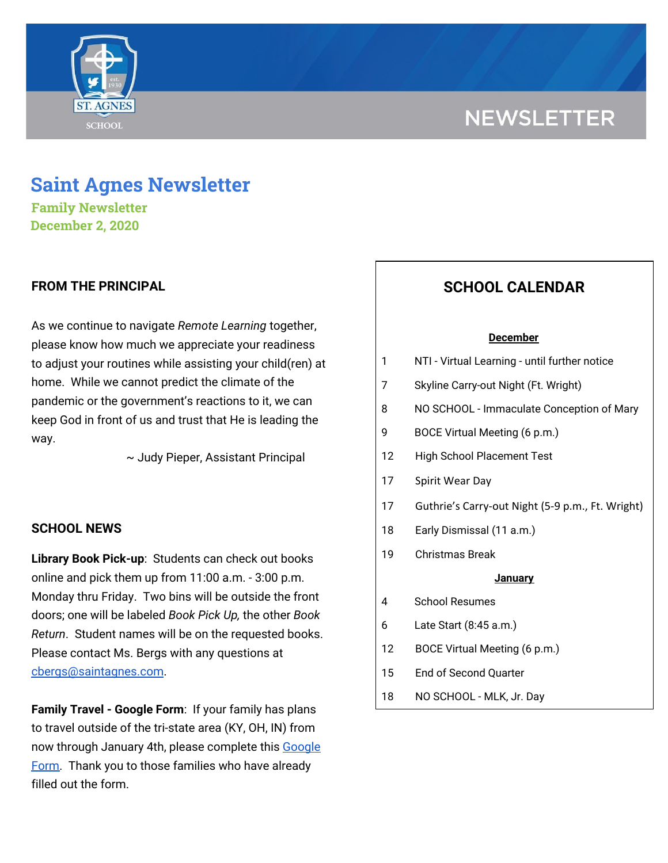# **NEWSLETTER**



# **Saint Agnes Newsletter**

**Family Newsletter December 2, 2020**

### **FROM THE PRINCIPAL**

As we continue to navigate *Remote Learning* together, please know how much we appreciate your readiness to adjust your routines while assisting your child(ren) at home. While we cannot predict the climate of the pandemic or the government's reactions to it, we can keep God in front of us and trust that He is leading the way.

~ Judy Pieper, Assistant Principal

### **SCHOOL NEWS**

**Library Book Pick-up**: Students can check out books online and pick them up from 11:00 a.m. - 3:00 p.m. Monday thru Friday. Two bins will be outside the front doors; one will be labeled *Book Pick Up,* the other *Book Return*. Student names will be on the requested books. Please contact Ms. Bergs with any questions at [cbergs@saintagnes.com](mailto:cbergs@saintagnes.com).

**Family Travel - Google Form**: If your family has plans to travel outside of the tri-state area (KY, OH, IN) from now through January 4th, please complete this [Google](https://docs.google.com/forms/d/e/1FAIpQLSfFM-ZAlSxO2UPHBz7UuV56wGWfebAHwFLUEsy2NnajQKNbhA/viewform?usp=sf_link) [Form.](https://docs.google.com/forms/d/e/1FAIpQLSfFM-ZAlSxO2UPHBz7UuV56wGWfebAHwFLUEsy2NnajQKNbhA/viewform?usp=sf_link) Thank you to those families who have already filled out the form.

## **SCHOOL CALENDAR**

#### **December**

- 1 NTI Virtual Learning until further notice
- 7 Skyline Carry-out Night (Ft. Wright)
- 8 NO SCHOOL Immaculate Conception of Mary
- 9 BOCE Virtual Meeting (6 p.m.)
- 12 High School Placement Test
- 17 Spirit Wear Day
- 17 Guthrie's Carry-out Night (5-9 p.m., Ft. Wright)
- 18 Early Dismissal (11 a.m.)
- 19 Christmas Break

#### **January**

- 4 School Resumes
- 6 Late Start (8:45 a.m.)
- 12 BOCE Virtual Meeting (6 p.m.)
- 15 End of Second Quarter
- 18 NO SCHOOL MLK, Jr. Day